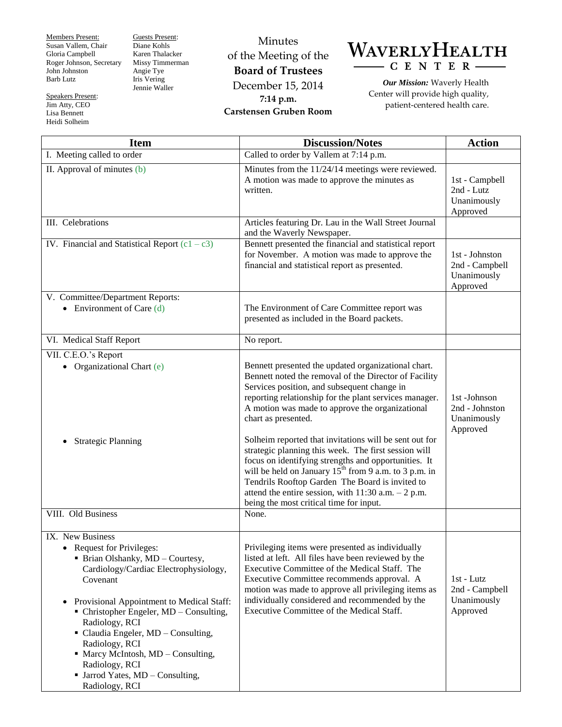Members Present: Susan Vallem, Chair Gloria Campbell Roger Johnson, Secretary John Johnston Barb Lutz

Speakers Present: Jim Atty, CEO Lisa Bennett Heidi Solheim

Guests Present: Diane Kohls Karen Thalacker Missy Timmerman Angie Tye Iris Vering Jennie Waller

Minutes of the Meeting of the **Board of Trustees** December 15, 2014 **7:14 p.m. Carstensen Gruben Room**



*Our Mission:* Waverly Health Center will provide high quality, patient-centered health care.

| <b>Item</b>                                                                                                                                                                                                                                                                                                                                                                                                                             | <b>Discussion/Notes</b>                                                                                                                                                                                                                                                                                                                                                                                                                                                                                                                                                                                                                                                                                | <b>Action</b>                                               |
|-----------------------------------------------------------------------------------------------------------------------------------------------------------------------------------------------------------------------------------------------------------------------------------------------------------------------------------------------------------------------------------------------------------------------------------------|--------------------------------------------------------------------------------------------------------------------------------------------------------------------------------------------------------------------------------------------------------------------------------------------------------------------------------------------------------------------------------------------------------------------------------------------------------------------------------------------------------------------------------------------------------------------------------------------------------------------------------------------------------------------------------------------------------|-------------------------------------------------------------|
| I. Meeting called to order                                                                                                                                                                                                                                                                                                                                                                                                              | Called to order by Vallem at 7:14 p.m.                                                                                                                                                                                                                                                                                                                                                                                                                                                                                                                                                                                                                                                                 |                                                             |
| II. Approval of minutes (b)                                                                                                                                                                                                                                                                                                                                                                                                             | Minutes from the 11/24/14 meetings were reviewed.<br>A motion was made to approve the minutes as<br>written.                                                                                                                                                                                                                                                                                                                                                                                                                                                                                                                                                                                           | 1st - Campbell<br>2nd - Lutz<br>Unanimously<br>Approved     |
| III. Celebrations                                                                                                                                                                                                                                                                                                                                                                                                                       | Articles featuring Dr. Lau in the Wall Street Journal<br>and the Waverly Newspaper.                                                                                                                                                                                                                                                                                                                                                                                                                                                                                                                                                                                                                    |                                                             |
| IV. Financial and Statistical Report $(c1 - c3)$                                                                                                                                                                                                                                                                                                                                                                                        | Bennett presented the financial and statistical report<br>for November. A motion was made to approve the<br>financial and statistical report as presented.                                                                                                                                                                                                                                                                                                                                                                                                                                                                                                                                             | 1st - Johnston<br>2nd - Campbell<br>Unanimously<br>Approved |
| V. Committee/Department Reports:                                                                                                                                                                                                                                                                                                                                                                                                        |                                                                                                                                                                                                                                                                                                                                                                                                                                                                                                                                                                                                                                                                                                        |                                                             |
| • Environment of Care $(d)$                                                                                                                                                                                                                                                                                                                                                                                                             | The Environment of Care Committee report was<br>presented as included in the Board packets.                                                                                                                                                                                                                                                                                                                                                                                                                                                                                                                                                                                                            |                                                             |
| VI. Medical Staff Report                                                                                                                                                                                                                                                                                                                                                                                                                | No report.                                                                                                                                                                                                                                                                                                                                                                                                                                                                                                                                                                                                                                                                                             |                                                             |
| VII. C.E.O.'s Report                                                                                                                                                                                                                                                                                                                                                                                                                    |                                                                                                                                                                                                                                                                                                                                                                                                                                                                                                                                                                                                                                                                                                        |                                                             |
| Organizational Chart (e)<br>$\bullet$<br><b>Strategic Planning</b>                                                                                                                                                                                                                                                                                                                                                                      | Bennett presented the updated organizational chart.<br>Bennett noted the removal of the Director of Facility<br>Services position, and subsequent change in<br>reporting relationship for the plant services manager.<br>A motion was made to approve the organizational<br>chart as presented.<br>Solheim reported that invitations will be sent out for<br>strategic planning this week. The first session will<br>focus on identifying strengths and opportunities. It<br>will be held on January 15 <sup>th</sup> from 9 a.m. to 3 p.m. in<br>Tendrils Rooftop Garden The Board is invited to<br>attend the entire session, with $11:30$ a.m. $-2$ p.m.<br>being the most critical time for input. | 1st-Johnson<br>2nd - Johnston<br>Unanimously<br>Approved    |
| VIII. Old Business                                                                                                                                                                                                                                                                                                                                                                                                                      | None.                                                                                                                                                                                                                                                                                                                                                                                                                                                                                                                                                                                                                                                                                                  |                                                             |
| IX. New Business<br>Request for Privileges:<br>٠<br>• Brian Olshanky, MD - Courtesy,<br>Cardiology/Cardiac Electrophysiology,<br>Covenant<br>Provisional Appointment to Medical Staff:<br>$\bullet$<br>• Christopher Engeler, MD – Consulting,<br>Radiology, RCI<br>• Claudia Engeler, MD - Consulting,<br>Radiology, RCI<br>• Marcy McIntosh, MD – Consulting,<br>Radiology, RCI<br>• Jarrod Yates, MD - Consulting,<br>Radiology, RCI | Privileging items were presented as individually<br>listed at left. All files have been reviewed by the<br>Executive Committee of the Medical Staff. The<br>Executive Committee recommends approval. A<br>motion was made to approve all privileging items as<br>individually considered and recommended by the<br>Executive Committee of the Medical Staff.                                                                                                                                                                                                                                                                                                                                           | 1st - Lutz<br>2nd - Campbell<br>Unanimously<br>Approved     |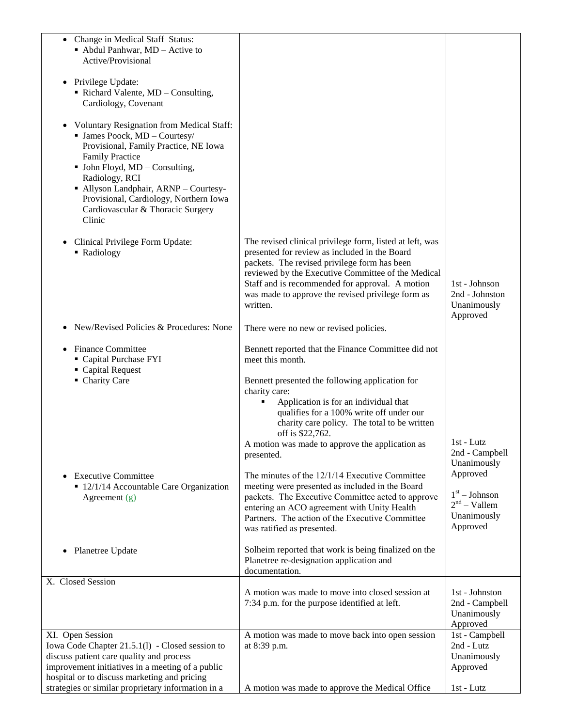| Change in Medical Staff Status:<br>$\bullet$<br>$\blacksquare$ Abdul Panhwar, MD – Active to<br>Active/Provisional<br>• Privilege Update:<br>Richard Valente, MD - Consulting,<br>Cardiology, Covenant                                                                                                                                         |                                                                                                                                                                                                                                                                                                                                                                             |                                                                                                                         |
|------------------------------------------------------------------------------------------------------------------------------------------------------------------------------------------------------------------------------------------------------------------------------------------------------------------------------------------------|-----------------------------------------------------------------------------------------------------------------------------------------------------------------------------------------------------------------------------------------------------------------------------------------------------------------------------------------------------------------------------|-------------------------------------------------------------------------------------------------------------------------|
| <b>Voluntary Resignation from Medical Staff:</b><br><b>James Poock, MD - Courtesy</b><br>Provisional, Family Practice, NE Iowa<br><b>Family Practice</b><br>• John Floyd, MD - Consulting,<br>Radiology, RCI<br>• Allyson Landphair, ARNP - Courtesy-<br>Provisional, Cardiology, Northern Iowa<br>Cardiovascular & Thoracic Surgery<br>Clinic |                                                                                                                                                                                                                                                                                                                                                                             |                                                                                                                         |
| Clinical Privilege Form Update:<br>• Radiology                                                                                                                                                                                                                                                                                                 | The revised clinical privilege form, listed at left, was<br>presented for review as included in the Board<br>packets. The revised privilege form has been<br>reviewed by the Executive Committee of the Medical<br>Staff and is recommended for approval. A motion<br>was made to approve the revised privilege form as<br>written.                                         | 1st - Johnson<br>2nd - Johnston<br>Unanimously<br>Approved                                                              |
| New/Revised Policies & Procedures: None                                                                                                                                                                                                                                                                                                        | There were no new or revised policies.                                                                                                                                                                                                                                                                                                                                      |                                                                                                                         |
| <b>Finance Committee</b><br>Capital Purchase FYI<br>• Capital Request<br>• Charity Care                                                                                                                                                                                                                                                        | Bennett reported that the Finance Committee did not<br>meet this month.<br>Bennett presented the following application for<br>charity care:<br>Application is for an individual that<br>٠<br>qualifies for a 100% write off under our<br>charity care policy. The total to be written                                                                                       |                                                                                                                         |
| • Executive Committee<br>• 12/1/14 Accountable Care Organization<br>Agreement $(g)$                                                                                                                                                                                                                                                            | off is \$22,762.<br>A motion was made to approve the application as<br>presented.<br>The minutes of the 12/1/14 Executive Committee<br>meeting were presented as included in the Board<br>packets. The Executive Committee acted to approve<br>entering an ACO agreement with Unity Health<br>Partners. The action of the Executive Committee<br>was ratified as presented. | 1st - Lutz<br>2nd - Campbell<br>Unanimously<br>Approved<br>$1st - Johnson$<br>$2nd - Vallem$<br>Unanimously<br>Approved |
| • Planetree Update                                                                                                                                                                                                                                                                                                                             | Solheim reported that work is being finalized on the<br>Planetree re-designation application and<br>documentation.                                                                                                                                                                                                                                                          |                                                                                                                         |
| X. Closed Session                                                                                                                                                                                                                                                                                                                              | A motion was made to move into closed session at<br>7:34 p.m. for the purpose identified at left.                                                                                                                                                                                                                                                                           | 1st - Johnston<br>2nd - Campbell<br>Unanimously<br>Approved                                                             |
| XI. Open Session<br>Iowa Code Chapter 21.5.1(1) - Closed session to<br>discuss patient care quality and process<br>improvement initiatives in a meeting of a public<br>hospital or to discuss marketing and pricing                                                                                                                            | A motion was made to move back into open session<br>at 8:39 p.m.                                                                                                                                                                                                                                                                                                            | 1st - Campbell<br>2nd - Lutz<br>Unanimously<br>Approved                                                                 |
| strategies or similar proprietary information in a                                                                                                                                                                                                                                                                                             | A motion was made to approve the Medical Office                                                                                                                                                                                                                                                                                                                             | 1st - Lutz                                                                                                              |